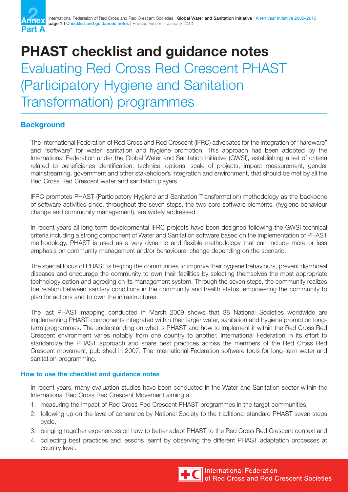

## **PHAST checklist and guidance notes** Evaluating Red Cross Red Crescent PHAST (Participatory Hygiene and Sanitation Transformation) programmes

## **Background**

The International Federation of Red Cross and Red Crescent (IFRC) advocates for the integration of "hardware" and "software" for water, sanitation and hygiene promotion. This approach has been adopted by the International Federation under the Global Water and Sanitation Initiative (GWSI), establishing a set of criteria related to beneficiaries identification, technical options, scale of projects, impact measurement, gender mainstreaming, government and other stakeholder's integration and environment, that should be met by all the Red Cross Red Crescent water and sanitation players.

IFRC promotes PHAST (Participatory Hygiene and Sanitation Transformation) methodology as the backbone of software activities since, throughout the seven steps, the two core software elements, (hygiene behaviour change and community management), are widely addressed.

In recent years all long-term developmental IFRC projects have been designed following the GWSI technical criteria including a strong component of Water and Sanitation software based on the implementation of PHAST methodology. PHAST is used as a very dynamic and flexible methodology that can include more or less emphasis on community management and/or behavioural change depending on the scenario.

The special focus of PHAST is helping the communities to improve their hygiene behaviours, prevent diarrhoeal diseases and encourage the community to own their facilities by selecting themselves the most appropriate technology option and agreeing on its management system. Through the seven steps, the community realizes the relation between sanitary conditions in the community and health status, empowering the community to plan for actions and to own the infrastructures.

The last PHAST mapping conducted in March 2009 shows that 38 National Societies worldwide are implementing PHAST components integrated within their larger water, sanitation and hygiene promotion longterm programmes. The understanding on what is PHAST and how to implement it within the Red Cross Red Crescent environment varies notably from one country to another. International Federation in its effort to standardize the PHAST approach and share best practices across the members of the Red Cross Red Crescent movement, published in 2007, The International Federation software tools for long-term water and sanitation programming.

## **How to use the checklist and guidance notes**

In recent years, many evaluation studies have been conducted in the Water and Sanitation sector within the International Red Cross Red Crescent Movement aiming at:

- 1. measuring the impact of Red Cross Red Crescent PHAST programmes in the target communities,
- 2. following up on the level of adherence by National Society to the traditional standard PHAST seven steps cycle,
- 3. bringing together experiences on how to better adapt PHAST to the Red Cross Red Crescent context and
- 4. collecting best practices and lessons learnt by observing the different PHAST adaptation processes at country level.